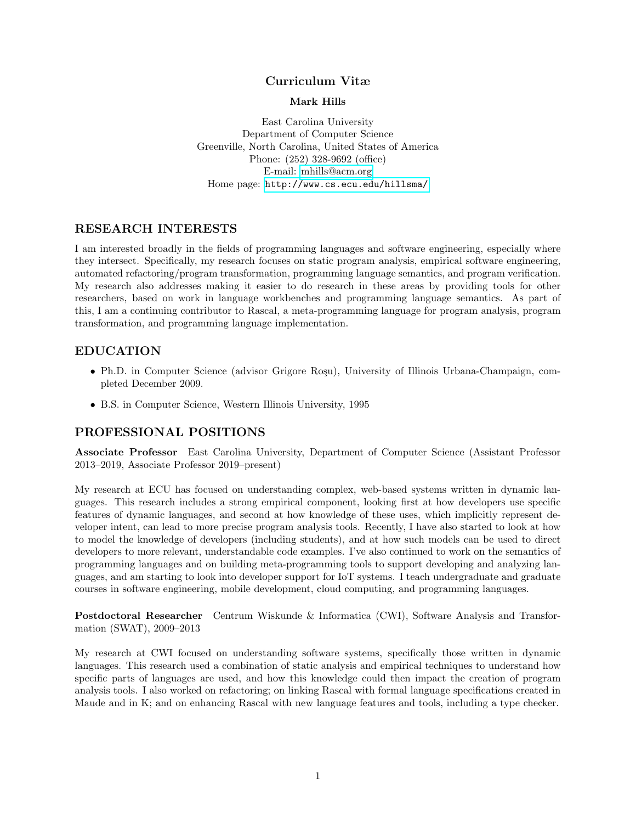### Curriculum Vitæ

#### Mark Hills

East Carolina University Department of Computer Science Greenville, North Carolina, United States of America Phone: (252) 328-9692 (office) E-mail: [mhills@acm.org](mailto:mhills@acm.org) Home page: <http://www.cs.ecu.edu/hillsma/>

# RESEARCH INTERESTS

I am interested broadly in the fields of programming languages and software engineering, especially where they intersect. Specifically, my research focuses on static program analysis, empirical software engineering, automated refactoring/program transformation, programming language semantics, and program verification. My research also addresses making it easier to do research in these areas by providing tools for other researchers, based on work in language workbenches and programming language semantics. As part of this, I am a continuing contributor to Rascal, a meta-programming language for program analysis, program transformation, and programming language implementation.

# EDUCATION

- Ph.D. in Computer Science (advisor Grigore Roşu), University of Illinois Urbana-Champaign, completed December 2009.
- B.S. in Computer Science, Western Illinois University, 1995

# PROFESSIONAL POSITIONS

Associate Professor East Carolina University, Department of Computer Science (Assistant Professor 2013–2019, Associate Professor 2019–present)

My research at ECU has focused on understanding complex, web-based systems written in dynamic languages. This research includes a strong empirical component, looking first at how developers use specific features of dynamic languages, and second at how knowledge of these uses, which implicitly represent developer intent, can lead to more precise program analysis tools. Recently, I have also started to look at how to model the knowledge of developers (including students), and at how such models can be used to direct developers to more relevant, understandable code examples. I've also continued to work on the semantics of programming languages and on building meta-programming tools to support developing and analyzing languages, and am starting to look into developer support for IoT systems. I teach undergraduate and graduate courses in software engineering, mobile development, cloud computing, and programming languages.

Postdoctoral Researcher Centrum Wiskunde & Informatica (CWI), Software Analysis and Transformation (SWAT), 2009–2013

My research at CWI focused on understanding software systems, specifically those written in dynamic languages. This research used a combination of static analysis and empirical techniques to understand how specific parts of languages are used, and how this knowledge could then impact the creation of program analysis tools. I also worked on refactoring; on linking Rascal with formal language specifications created in Maude and in K; and on enhancing Rascal with new language features and tools, including a type checker.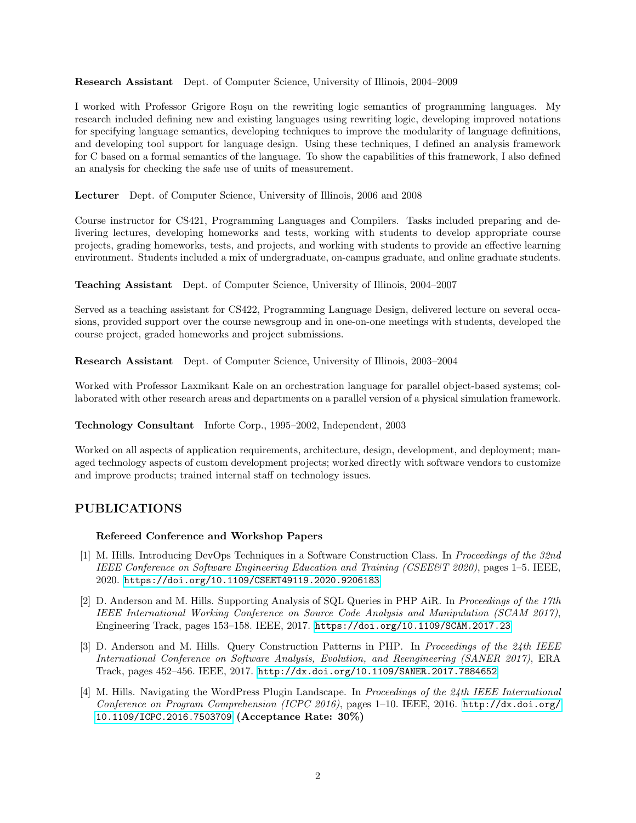Research Assistant Dept. of Computer Science, University of Illinois, 2004–2009

I worked with Professor Grigore Rosu on the rewriting logic semantics of programming languages. My research included defining new and existing languages using rewriting logic, developing improved notations for specifying language semantics, developing techniques to improve the modularity of language definitions, and developing tool support for language design. Using these techniques, I defined an analysis framework for C based on a formal semantics of the language. To show the capabilities of this framework, I also defined an analysis for checking the safe use of units of measurement.

Lecturer Dept. of Computer Science, University of Illinois, 2006 and 2008

Course instructor for CS421, Programming Languages and Compilers. Tasks included preparing and delivering lectures, developing homeworks and tests, working with students to develop appropriate course projects, grading homeworks, tests, and projects, and working with students to provide an effective learning environment. Students included a mix of undergraduate, on-campus graduate, and online graduate students.

Teaching Assistant Dept. of Computer Science, University of Illinois, 2004–2007

Served as a teaching assistant for CS422, Programming Language Design, delivered lecture on several occasions, provided support over the course newsgroup and in one-on-one meetings with students, developed the course project, graded homeworks and project submissions.

Research Assistant Dept. of Computer Science, University of Illinois, 2003–2004

Worked with Professor Laxmikant Kale on an orchestration language for parallel object-based systems; collaborated with other research areas and departments on a parallel version of a physical simulation framework.

Technology Consultant Inforte Corp., 1995–2002, Independent, 2003

Worked on all aspects of application requirements, architecture, design, development, and deployment; managed technology aspects of custom development projects; worked directly with software vendors to customize and improve products; trained internal staff on technology issues.

# PUBLICATIONS

### Refereed Conference and Workshop Papers

- [1] M. Hills. Introducing DevOps Techniques in a Software Construction Class. In Proceedings of the 32nd IEEE Conference on Software Engineering Education and Training (CSEE&T 2020), pages 1–5. IEEE, 2020. <https://doi.org/10.1109/CSEET49119.2020.9206183>
- [2] D. Anderson and M. Hills. Supporting Analysis of SQL Queries in PHP AiR. In Proceedings of the 17th IEEE International Working Conference on Source Code Analysis and Manipulation (SCAM 2017), Engineering Track, pages 153–158. IEEE, 2017. <https://doi.org/10.1109/SCAM.2017.23>
- [3] D. Anderson and M. Hills. Query Construction Patterns in PHP. In Proceedings of the 24th IEEE International Conference on Software Analysis, Evolution, and Reengineering (SANER 2017), ERA Track, pages 452–456. IEEE, 2017. <http://dx.doi.org/10.1109/SANER.2017.7884652>
- [4] M. Hills. Navigating the WordPress Plugin Landscape. In Proceedings of the 24th IEEE International Conference on Program Comprehension (ICPC 2016), pages 1–10. IEEE, 2016. [http://dx.doi.org/](http://dx.doi.org/10.1109/ICPC.2016.7503709) [10.1109/ICPC.2016.7503709](http://dx.doi.org/10.1109/ICPC.2016.7503709) (Acceptance Rate: 30%)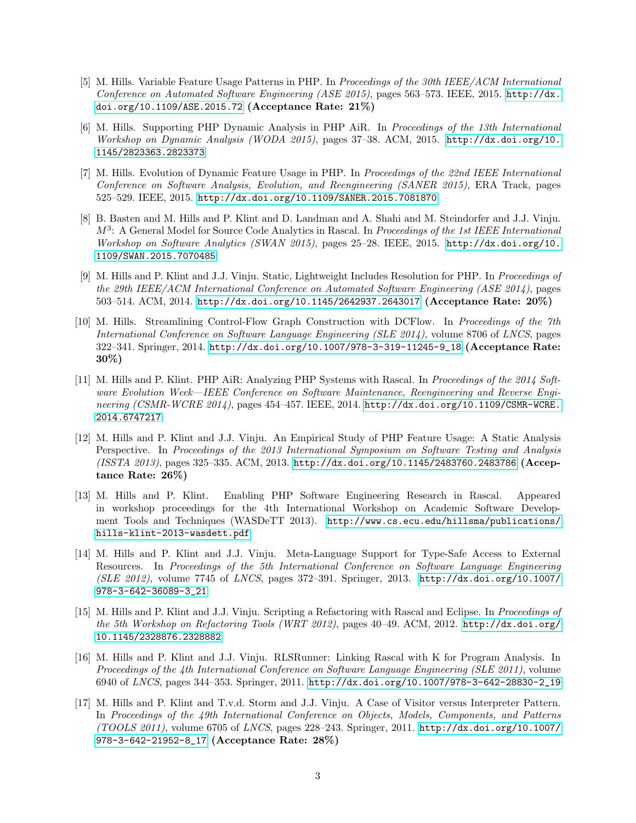- [5] M. Hills. Variable Feature Usage Patterns in PHP. In Proceedings of the 30th IEEE/ACM International Conference on Automated Software Engineering (ASE 2015), pages 563–573. IEEE, 2015. [http://dx.](http://dx.doi.org/10.1109/ASE.2015.72) [doi.org/10.1109/ASE.2015.72](http://dx.doi.org/10.1109/ASE.2015.72) (Acceptance Rate: 21%)
- [6] M. Hills. Supporting PHP Dynamic Analysis in PHP AiR. In Proceedings of the 13th International Workshop on Dynamic Analysis (WODA 2015), pages 37–38. ACM, 2015. [http://dx.doi.org/10.](http://dx.doi.org/10.1145/2823363.2823373) [1145/2823363.2823373](http://dx.doi.org/10.1145/2823363.2823373)
- [7] M. Hills. Evolution of Dynamic Feature Usage in PHP. In Proceedings of the 22nd IEEE International Conference on Software Analysis, Evolution, and Reengineering (SANER 2015), ERA Track, pages 525–529. IEEE, 2015. <http://dx.doi.org/10.1109/SANER.2015.7081870>
- [8] B. Basten and M. Hills and P. Klint and D. Landman and A. Shahi and M. Steindorfer and J.J. Vinju.  $M<sup>3</sup>$ : A General Model for Source Code Analytics in Rascal. In Proceedings of the 1st IEEE International Workshop on Software Analytics (SWAN 2015), pages 25–28. IEEE, 2015. [http://dx.doi.org/10.](http://dx.doi.org/10.1109/SWAN.2015.7070485) [1109/SWAN.2015.7070485](http://dx.doi.org/10.1109/SWAN.2015.7070485)
- [9] M. Hills and P. Klint and J.J. Vinju. Static, Lightweight Includes Resolution for PHP. In Proceedings of the 29th IEEE/ACM International Conference on Automated Software Engineering (ASE 2014), pages 503–514. ACM, 2014. <http://dx.doi.org/10.1145/2642937.2643017> (Acceptance Rate: 20%)
- [10] M. Hills. Streamlining Control-Flow Graph Construction with DCFlow. In Proceedings of the 7th International Conference on Software Language Engineering (SLE 2014), volume 8706 of LNCS, pages 322–341. Springer, 2014. [http://dx.doi.org/10.1007/978-3-319-11245-9\\_18](http://dx.doi.org/10.1007/978-3-319-11245-9_18) (Acceptance Rate: 30%)
- [11] M. Hills and P. Klint. PHP AiR: Analyzing PHP Systems with Rascal. In Proceedings of the 2014 Software Evolution Week—IEEE Conference on Software Maintenance, Reengineering and Reverse Engineering (CSMR-WCRE 2014), pages 454–457. IEEE, 2014. [http://dx.doi.org/10.1109/CSMR-WCRE.](http://dx.doi.org/10.1109/CSMR-WCRE.2014.6747217) [2014.6747217](http://dx.doi.org/10.1109/CSMR-WCRE.2014.6747217)
- [12] M. Hills and P. Klint and J.J. Vinju. An Empirical Study of PHP Feature Usage: A Static Analysis Perspective. In Proceedings of the 2013 International Symposium on Software Testing and Analysis (ISSTA 2013), pages 325–335. ACM, 2013. <http://dx.doi.org/10.1145/2483760.2483786> (Acceptance Rate: 26%)
- [13] M. Hills and P. Klint. Enabling PHP Software Engineering Research in Rascal. Appeared in workshop proceedings for the 4th International Workshop on Academic Software Development Tools and Techniques (WASDeTT 2013). [http://www.cs.ecu.edu/hillsma/publications/](http://www.cs.ecu.edu/hillsma/publications/hills-klint-2013-wasdett.pdf) [hills-klint-2013-wasdett.pdf](http://www.cs.ecu.edu/hillsma/publications/hills-klint-2013-wasdett.pdf)
- [14] M. Hills and P. Klint and J.J. Vinju. Meta-Language Support for Type-Safe Access to External Resources. In Proceedings of the 5th International Conference on Software Language Engineering (SLE 2012), volume 7745 of LNCS, pages 372–391. Springer, 2013. [http://dx.doi.org/10.1007/](http://dx.doi.org/10.1007/978-3-642-36089-3_21) [978-3-642-36089-3\\_21](http://dx.doi.org/10.1007/978-3-642-36089-3_21)
- [15] M. Hills and P. Klint and J.J. Vinju. Scripting a Refactoring with Rascal and Eclipse. In Proceedings of the 5th Workshop on Refactoring Tools (WRT 2012), pages 40-49. ACM, 2012. [http://dx.doi.org/](http://dx.doi.org/10.1145/2328876.2328882) [10.1145/2328876.2328882](http://dx.doi.org/10.1145/2328876.2328882)
- [16] M. Hills and P. Klint and J.J. Vinju. RLSRunner: Linking Rascal with K for Program Analysis. In Proceedings of the 4th International Conference on Software Language Engineering (SLE 2011), volume 6940 of LNCS, pages 344–353. Springer, 2011. [http://dx.doi.org/10.1007/978-3-642-28830-2\\_19](http://dx.doi.org/10.1007/978-3-642-28830-2_19)
- [17] M. Hills and P. Klint and T.v.d. Storm and J.J. Vinju. A Case of Visitor versus Interpreter Pattern. In Proceedings of the 49th International Conference on Objects, Models, Components, and Patterns (TOOLS 2011), volume 6705 of LNCS, pages 228–243. Springer, 2011. [http://dx.doi.org/10.1007/](http://dx.doi.org/10.1007/978-3-642-21952-8_17) [978-3-642-21952-8\\_17](http://dx.doi.org/10.1007/978-3-642-21952-8_17) (Acceptance Rate: 28%)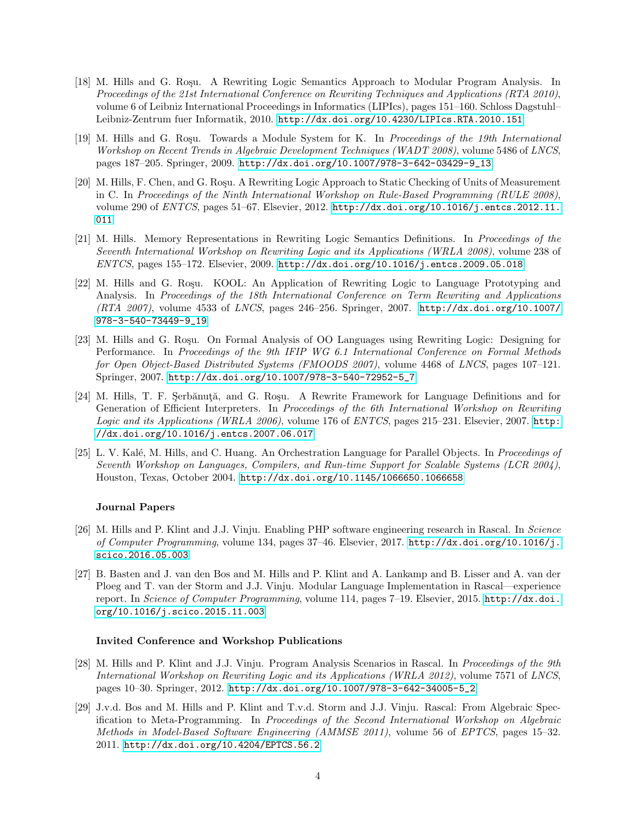- [18] M. Hills and G. Rosu. A Rewriting Logic Semantics Approach to Modular Program Analysis. In Proceedings of the 21st International Conference on Rewriting Techniques and Applications (RTA 2010), volume 6 of Leibniz International Proceedings in Informatics (LIPIcs), pages 151–160. Schloss Dagstuhl– Leibniz-Zentrum fuer Informatik, 2010. <http://dx.doi.org/10.4230/LIPIcs.RTA.2010.151>
- [19] M. Hills and G. Roşu. Towards a Module System for K. In Proceedings of the 19th International Workshop on Recent Trends in Algebraic Development Techniques (WADT 2008), volume 5486 of LNCS, pages 187–205. Springer, 2009. [http://dx.doi.org/10.1007/978-3-642-03429-9\\_13](http://dx.doi.org/10.1007/978-3-642-03429-9_13)
- [20] M. Hills, F. Chen, and G. Roşu. A Rewriting Logic Approach to Static Checking of Units of Measurement in C. In Proceedings of the Ninth International Workshop on Rule-Based Programming (RULE 2008), volume 290 of ENTCS, pages 51–67. Elsevier, 2012. [http://dx.doi.org/10.1016/j.entcs.2012.11.](http://dx.doi.org/10.1016/j.entcs.2012.11.011) [011](http://dx.doi.org/10.1016/j.entcs.2012.11.011)
- [21] M. Hills. Memory Representations in Rewriting Logic Semantics Definitions. In Proceedings of the Seventh International Workshop on Rewriting Logic and its Applications (WRLA 2008), volume 238 of ENTCS, pages 155–172. Elsevier, 2009. <http://dx.doi.org/10.1016/j.entcs.2009.05.018>
- [22] M. Hills and G. Roşu. KOOL: An Application of Rewriting Logic to Language Prototyping and Analysis. In Proceedings of the 18th International Conference on Term Rewriting and Applications (RTA 2007), volume 4533 of LNCS, pages 246–256. Springer, 2007. [http://dx.doi.org/10.1007/](http://dx.doi.org/10.1007/978-3-540-73449-9_19) [978-3-540-73449-9\\_19](http://dx.doi.org/10.1007/978-3-540-73449-9_19)
- [23] M. Hills and G. Rosu. On Formal Analysis of OO Languages using Rewriting Logic: Designing for Performance. In Proceedings of the 9th IFIP WG 6.1 International Conference on Formal Methods for Open Object-Based Distributed Systems (FMOODS 2007), volume 4468 of LNCS, pages 107–121. Springer, 2007. [http://dx.doi.org/10.1007/978-3-540-72952-5\\_7](http://dx.doi.org/10.1007/978-3-540-72952-5_7)
- [24] M. Hills, T. F. Serbănută, and G. Roșu. A Rewrite Framework for Language Definitions and for Generation of Efficient Interpreters. In Proceedings of the 6th International Workshop on Rewriting Logic and its Applications (WRLA 2006), volume 176 of ENTCS, pages 215–231. Elsevier, 2007. [http:](http://dx.doi.org/10.1016/j.entcs.2007.06.017) [//dx.doi.org/10.1016/j.entcs.2007.06.017](http://dx.doi.org/10.1016/j.entcs.2007.06.017)
- [25] L. V. Kalé, M. Hills, and C. Huang. An Orchestration Language for Parallel Objects. In *Proceedings of* Seventh Workshop on Languages, Compilers, and Run-time Support for Scalable Systems (LCR 2004), Houston, Texas, October 2004. <http://dx.doi.org/10.1145/1066650.1066658>

#### Journal Papers

- [26] M. Hills and P. Klint and J.J. Vinju. Enabling PHP software engineering research in Rascal. In Science of Computer Programming, volume 134, pages 37–46. Elsevier, 2017. [http://dx.doi.org/10.1016/j.](http://dx.doi.org/10.1016/j.scico.2016.05.003) [scico.2016.05.003](http://dx.doi.org/10.1016/j.scico.2016.05.003)
- [27] B. Basten and J. van den Bos and M. Hills and P. Klint and A. Lankamp and B. Lisser and A. van der Ploeg and T. van der Storm and J.J. Vinju. Modular Language Implementation in Rascal—experience report. In Science of Computer Programming, volume 114, pages 7–19. Elsevier, 2015. [http://dx.doi.](http://dx.doi.org/10.1016/j.scico.2015.11.003) [org/10.1016/j.scico.2015.11.003](http://dx.doi.org/10.1016/j.scico.2015.11.003)

#### Invited Conference and Workshop Publications

- [28] M. Hills and P. Klint and J.J. Vinju. Program Analysis Scenarios in Rascal. In Proceedings of the 9th International Workshop on Rewriting Logic and its Applications (WRLA 2012), volume 7571 of LNCS, pages 10–30. Springer, 2012. [http://dx.doi.org/10.1007/978-3-642-34005-5\\_2](http://dx.doi.org/10.1007/978-3-642-34005-5_2)
- [29] J.v.d. Bos and M. Hills and P. Klint and T.v.d. Storm and J.J. Vinju. Rascal: From Algebraic Specification to Meta-Programming. In Proceedings of the Second International Workshop on Algebraic Methods in Model-Based Software Engineering (AMMSE 2011), volume 56 of EPTCS, pages 15–32. 2011. <http://dx.doi.org/10.4204/EPTCS.56.2>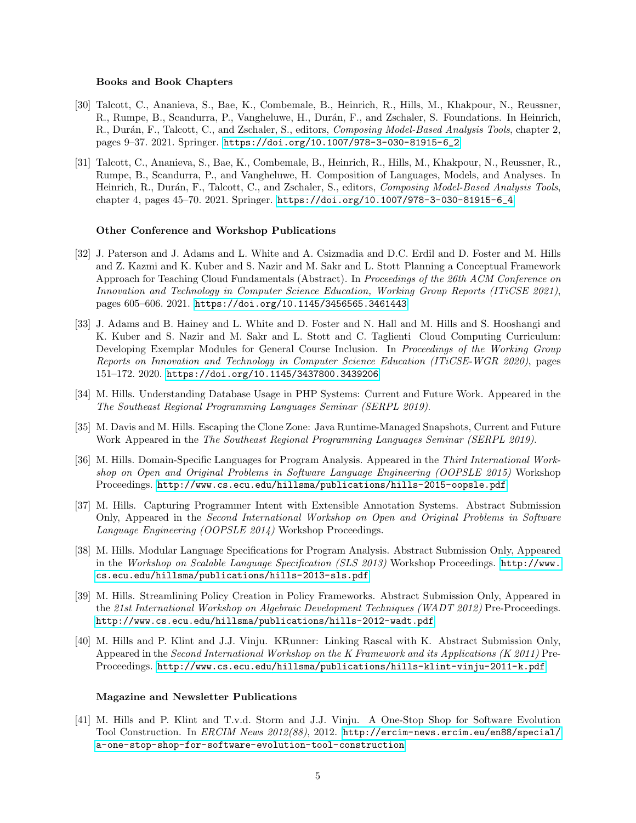#### Books and Book Chapters

- [30] Talcott, C., Ananieva, S., Bae, K., Combemale, B., Heinrich, R., Hills, M., Khakpour, N., Reussner, R., Rumpe, B., Scandurra, P., Vangheluwe, H., Durán, F., and Zschaler, S. Foundations. In Heinrich, R., Durán, F., Talcott, C., and Zschaler, S., editors, *Composing Model-Based Analysis Tools*, chapter 2, pages 9–37. 2021. Springer. [https://doi.org/10.1007/978-3-030-81915-6\\_2](https://doi.org/10.1007/978-3-030-81915-6_2)
- [31] Talcott, C., Ananieva, S., Bae, K., Combemale, B., Heinrich, R., Hills, M., Khakpour, N., Reussner, R., Rumpe, B., Scandurra, P., and Vangheluwe, H. Composition of Languages, Models, and Analyses. In Heinrich, R., Durán, F., Talcott, C., and Zschaler, S., editors, Composing Model-Based Analysis Tools, chapter 4, pages 45–70. 2021. Springer. [https://doi.org/10.1007/978-3-030-81915-6\\_4](https://doi.org/10.1007/978-3-030-81915-6_4)

#### Other Conference and Workshop Publications

- [32] J. Paterson and J. Adams and L. White and A. Csizmadia and D.C. Erdil and D. Foster and M. Hills and Z. Kazmi and K. Kuber and S. Nazir and M. Sakr and L. Stott Planning a Conceptual Framework Approach for Teaching Cloud Fundamentals (Abstract). In Proceedings of the 26th ACM Conference on Innovation and Technology in Computer Science Education, Working Group Reports (ITiCSE 2021), pages 605–606. 2021. <https://doi.org/10.1145/3456565.3461443>
- [33] J. Adams and B. Hainey and L. White and D. Foster and N. Hall and M. Hills and S. Hooshangi and K. Kuber and S. Nazir and M. Sakr and L. Stott and C. Taglienti Cloud Computing Curriculum: Developing Exemplar Modules for General Course Inclusion. In Proceedings of the Working Group Reports on Innovation and Technology in Computer Science Education (ITiCSE-WGR 2020), pages 151–172. 2020. <https://doi.org/10.1145/3437800.3439206>
- [34] M. Hills. Understanding Database Usage in PHP Systems: Current and Future Work. Appeared in the The Southeast Regional Programming Languages Seminar (SERPL 2019).
- [35] M. Davis and M. Hills. Escaping the Clone Zone: Java Runtime-Managed Snapshots, Current and Future Work Appeared in the The Southeast Regional Programming Languages Seminar (SERPL 2019).
- [36] M. Hills. Domain-Specific Languages for Program Analysis. Appeared in the Third International Workshop on Open and Original Problems in Software Language Engineering (OOPSLE 2015) Workshop Proceedings. <http://www.cs.ecu.edu/hillsma/publications/hills-2015-oopsle.pdf>
- [37] M. Hills. Capturing Programmer Intent with Extensible Annotation Systems. Abstract Submission Only, Appeared in the Second International Workshop on Open and Original Problems in Software Language Engineering (OOPSLE 2014) Workshop Proceedings.
- [38] M. Hills. Modular Language Specifications for Program Analysis. Abstract Submission Only, Appeared in the Workshop on Scalable Language Specification (SLS 2013) Workshop Proceedings. [http://www.](http://www.cs.ecu.edu/hillsma/publications/hills-2013-sls.pdf) [cs.ecu.edu/hillsma/publications/hills-2013-sls.pdf](http://www.cs.ecu.edu/hillsma/publications/hills-2013-sls.pdf)
- [39] M. Hills. Streamlining Policy Creation in Policy Frameworks. Abstract Submission Only, Appeared in the 21st International Workshop on Algebraic Development Techniques (WADT 2012) Pre-Proceedings. <http://www.cs.ecu.edu/hillsma/publications/hills-2012-wadt.pdf>
- [40] M. Hills and P. Klint and J.J. Vinju. KRunner: Linking Rascal with K. Abstract Submission Only, Appeared in the Second International Workshop on the K Framework and its Applications (K 2011) Pre-Proceedings. <http://www.cs.ecu.edu/hillsma/publications/hills-klint-vinju-2011-k.pdf>

#### Magazine and Newsletter Publications

[41] M. Hills and P. Klint and T.v.d. Storm and J.J. Vinju. A One-Stop Shop for Software Evolution Tool Construction. In ERCIM News 2012(88), 2012. [http://ercim-news.ercim.eu/en88/special/](http://ercim-news.ercim.eu/en88/special/a-one-stop-shop-for-software-evolution-tool-construction) [a-one-stop-shop-for-software-evolution-tool-construction](http://ercim-news.ercim.eu/en88/special/a-one-stop-shop-for-software-evolution-tool-construction)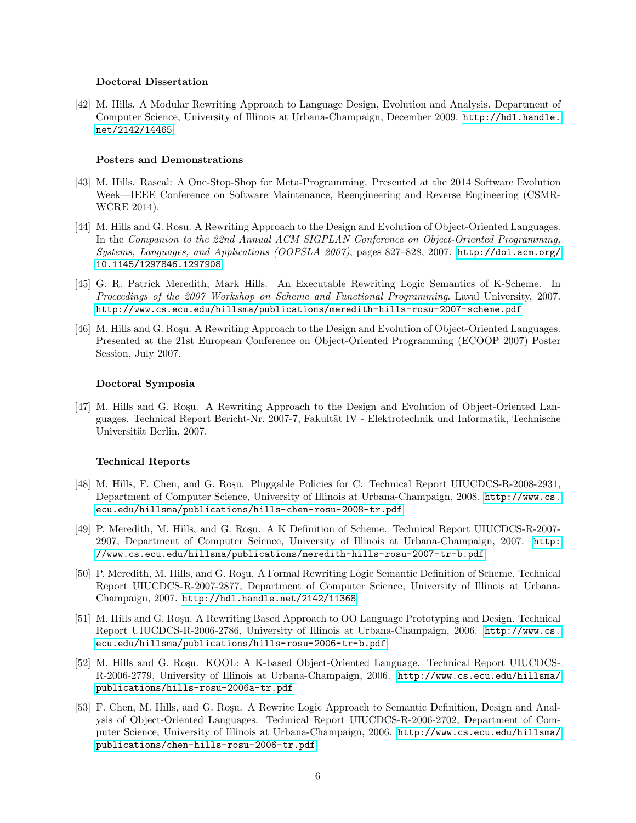#### Doctoral Dissertation

[42] M. Hills. A Modular Rewriting Approach to Language Design, Evolution and Analysis. Department of Computer Science, University of Illinois at Urbana-Champaign, December 2009. [http://hdl.handle.](http://hdl.handle.net/2142/14465) [net/2142/14465](http://hdl.handle.net/2142/14465)

#### Posters and Demonstrations

- [43] M. Hills. Rascal: A One-Stop-Shop for Meta-Programming. Presented at the 2014 Software Evolution Week—IEEE Conference on Software Maintenance, Reengineering and Reverse Engineering (CSMR-WCRE 2014).
- [44] M. Hills and G. Rosu. A Rewriting Approach to the Design and Evolution of Object-Oriented Languages. In the Companion to the 22nd Annual ACM SIGPLAN Conference on Object-Oriented Programming, Systems, Languages, and Applications (OOPSLA 2007), pages 827–828, 2007. [http://doi.acm.org/](http://doi.acm.org/10.1145/1297846.1297908) [10.1145/1297846.1297908](http://doi.acm.org/10.1145/1297846.1297908)
- [45] G. R. Patrick Meredith, Mark Hills. An Executable Rewriting Logic Semantics of K-Scheme. In Proceedings of the 2007 Workshop on Scheme and Functional Programming. Laval University, 2007. <http://www.cs.ecu.edu/hillsma/publications/meredith-hills-rosu-2007-scheme.pdf>
- [46] M. Hills and G. Rosu. A Rewriting Approach to the Design and Evolution of Object-Oriented Languages. Presented at the 21st European Conference on Object-Oriented Programming (ECOOP 2007) Poster Session, July 2007.

#### Doctoral Symposia

[47] M. Hills and G. Roşu. A Rewriting Approach to the Design and Evolution of Object-Oriented Languages. Technical Report Bericht-Nr. 2007-7, Fakultät IV - Elektrotechnik und Informatik, Technische Universität Berlin, 2007.

#### Technical Reports

- [48] M. Hills, F. Chen, and G. Roşu. Pluggable Policies for C. Technical Report UIUCDCS-R-2008-2931, Department of Computer Science, University of Illinois at Urbana-Champaign, 2008. [http://www.cs.](http://www.cs.ecu.edu/hillsma/publications/hills-chen-rosu-2008-tr.pdf) [ecu.edu/hillsma/publications/hills-chen-rosu-2008-tr.pdf](http://www.cs.ecu.edu/hillsma/publications/hills-chen-rosu-2008-tr.pdf)
- [49] P. Meredith, M. Hills, and G. Roşu. A K Definition of Scheme. Technical Report UIUCDCS-R-2007-2907, Department of Computer Science, University of Illinois at Urbana-Champaign, 2007. [http:](http://www.cs.ecu.edu/hillsma/publications/meredith-hills-rosu-2007-tr-b.pdf) [//www.cs.ecu.edu/hillsma/publications/meredith-hills-rosu-2007-tr-b.pdf](http://www.cs.ecu.edu/hillsma/publications/meredith-hills-rosu-2007-tr-b.pdf)
- [50] P. Meredith, M. Hills, and G. Rosu. A Formal Rewriting Logic Semantic Definition of Scheme. Technical Report UIUCDCS-R-2007-2877, Department of Computer Science, University of Illinois at Urbana-Champaign, 2007. <http://hdl.handle.net/2142/11368>
- [51] M. Hills and G. Roşu. A Rewriting Based Approach to OO Language Prototyping and Design. Technical Report UIUCDCS-R-2006-2786, University of Illinois at Urbana-Champaign, 2006. [http://www.cs.](http://www.cs.ecu.edu/hillsma/publications/hills-rosu-2006-tr-b.pdf) [ecu.edu/hillsma/publications/hills-rosu-2006-tr-b.pdf](http://www.cs.ecu.edu/hillsma/publications/hills-rosu-2006-tr-b.pdf)
- [52] M. Hills and G. Roşu. KOOL: A K-based Object-Oriented Language. Technical Report UIUCDCS-R-2006-2779, University of Illinois at Urbana-Champaign, 2006. [http://www.cs.ecu.edu/hillsma/](http://www.cs.ecu.edu/hillsma/publications/hills-rosu-2006a-tr.pdf) [publications/hills-rosu-2006a-tr.pdf](http://www.cs.ecu.edu/hillsma/publications/hills-rosu-2006a-tr.pdf)
- [53] F. Chen, M. Hills, and G. Rosu. A Rewrite Logic Approach to Semantic Definition, Design and Analysis of Object-Oriented Languages. Technical Report UIUCDCS-R-2006-2702, Department of Computer Science, University of Illinois at Urbana-Champaign, 2006. [http://www.cs.ecu.edu/hillsma/](http://www.cs.ecu.edu/hillsma/publications/chen-hills-rosu-2006-tr.pdf) [publications/chen-hills-rosu-2006-tr.pdf](http://www.cs.ecu.edu/hillsma/publications/chen-hills-rosu-2006-tr.pdf)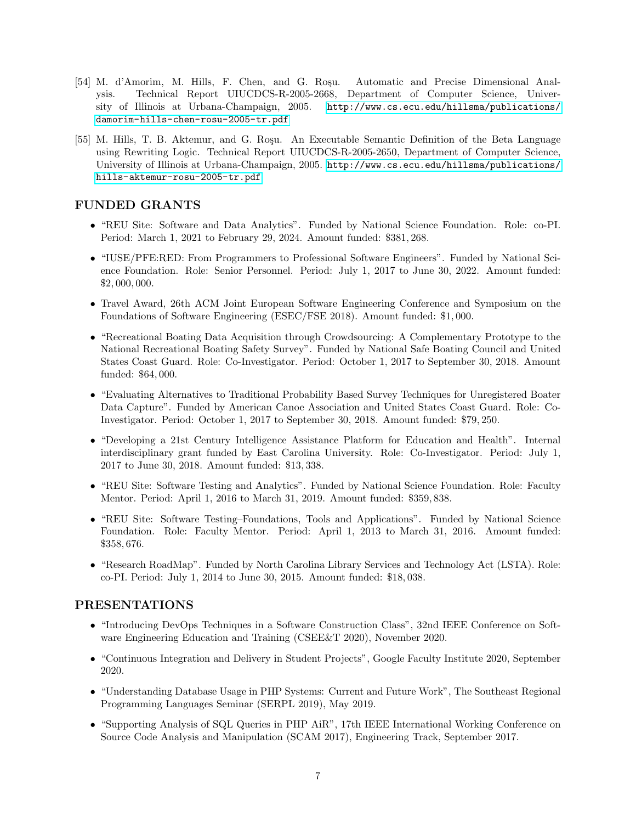- [54] M. d'Amorim, M. Hills, F. Chen, and G. Rosu. Automatic and Precise Dimensional Analysis. Technical Report UIUCDCS-R-2005-2668, Department of Computer Science, University of Illinois at Urbana-Champaign, 2005. [http://www.cs.ecu.edu/hillsma/publications/](http://www.cs.ecu.edu/hillsma/publications/damorim-hills-chen-rosu-2005-tr.pdf) [damorim-hills-chen-rosu-2005-tr.pdf](http://www.cs.ecu.edu/hillsma/publications/damorim-hills-chen-rosu-2005-tr.pdf)
- [55] M. Hills, T. B. Aktemur, and G. Roşu. An Executable Semantic Definition of the Beta Language using Rewriting Logic. Technical Report UIUCDCS-R-2005-2650, Department of Computer Science, University of Illinois at Urbana-Champaign, 2005. [http://www.cs.ecu.edu/hillsma/publications/](http://www.cs.ecu.edu/hillsma/publications/hills-aktemur-rosu-2005-tr.pdf) [hills-aktemur-rosu-2005-tr.pdf](http://www.cs.ecu.edu/hillsma/publications/hills-aktemur-rosu-2005-tr.pdf)

# FUNDED GRANTS

- "REU Site: Software and Data Analytics". Funded by National Science Foundation. Role: co-PI. Period: March 1, 2021 to February 29, 2024. Amount funded: \$381, 268.
- "IUSE/PFE:RED: From Programmers to Professional Software Engineers". Funded by National Science Foundation. Role: Senior Personnel. Period: July 1, 2017 to June 30, 2022. Amount funded: \$2, 000, 000.
- Travel Award, 26th ACM Joint European Software Engineering Conference and Symposium on the Foundations of Software Engineering (ESEC/FSE 2018). Amount funded: \$1, 000.
- "Recreational Boating Data Acquisition through Crowdsourcing: A Complementary Prototype to the National Recreational Boating Safety Survey". Funded by National Safe Boating Council and United States Coast Guard. Role: Co-Investigator. Period: October 1, 2017 to September 30, 2018. Amount funded: \$64, 000.
- "Evaluating Alternatives to Traditional Probability Based Survey Techniques for Unregistered Boater Data Capture". Funded by American Canoe Association and United States Coast Guard. Role: Co-Investigator. Period: October 1, 2017 to September 30, 2018. Amount funded: \$79, 250.
- "Developing a 21st Century Intelligence Assistance Platform for Education and Health". Internal interdisciplinary grant funded by East Carolina University. Role: Co-Investigator. Period: July 1, 2017 to June 30, 2018. Amount funded: \$13, 338.
- "REU Site: Software Testing and Analytics". Funded by National Science Foundation. Role: Faculty Mentor. Period: April 1, 2016 to March 31, 2019. Amount funded: \$359, 838.
- "REU Site: Software Testing–Foundations, Tools and Applications". Funded by National Science Foundation. Role: Faculty Mentor. Period: April 1, 2013 to March 31, 2016. Amount funded: \$358, 676.
- "Research RoadMap". Funded by North Carolina Library Services and Technology Act (LSTA). Role: co-PI. Period: July 1, 2014 to June 30, 2015. Amount funded: \$18, 038.

# PRESENTATIONS

- "Introducing DevOps Techniques in a Software Construction Class", 32nd IEEE Conference on Software Engineering Education and Training (CSEE&T 2020), November 2020.
- "Continuous Integration and Delivery in Student Projects", Google Faculty Institute 2020, September 2020.
- "Understanding Database Usage in PHP Systems: Current and Future Work", The Southeast Regional Programming Languages Seminar (SERPL 2019), May 2019.
- "Supporting Analysis of SQL Queries in PHP AiR", 17th IEEE International Working Conference on Source Code Analysis and Manipulation (SCAM 2017), Engineering Track, September 2017.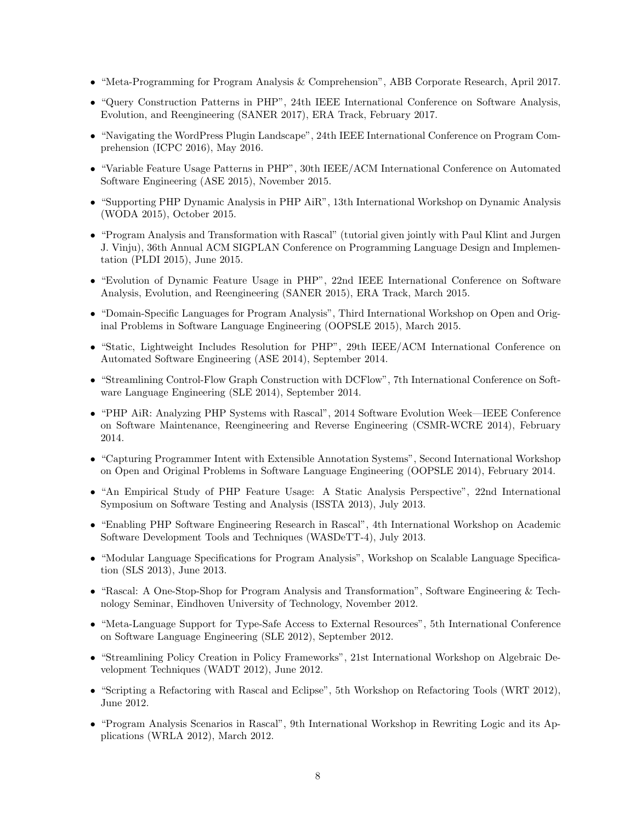- "Meta-Programming for Program Analysis & Comprehension", ABB Corporate Research, April 2017.
- "Query Construction Patterns in PHP", 24th IEEE International Conference on Software Analysis, Evolution, and Reengineering (SANER 2017), ERA Track, February 2017.
- "Navigating the WordPress Plugin Landscape", 24th IEEE International Conference on Program Comprehension (ICPC 2016), May 2016.
- "Variable Feature Usage Patterns in PHP", 30th IEEE/ACM International Conference on Automated Software Engineering (ASE 2015), November 2015.
- "Supporting PHP Dynamic Analysis in PHP AiR", 13th International Workshop on Dynamic Analysis (WODA 2015), October 2015.
- "Program Analysis and Transformation with Rascal" (tutorial given jointly with Paul Klint and Jurgen J. Vinju), 36th Annual ACM SIGPLAN Conference on Programming Language Design and Implementation (PLDI 2015), June 2015.
- "Evolution of Dynamic Feature Usage in PHP", 22nd IEEE International Conference on Software Analysis, Evolution, and Reengineering (SANER 2015), ERA Track, March 2015.
- "Domain-Specific Languages for Program Analysis", Third International Workshop on Open and Original Problems in Software Language Engineering (OOPSLE 2015), March 2015.
- "Static, Lightweight Includes Resolution for PHP", 29th IEEE/ACM International Conference on Automated Software Engineering (ASE 2014), September 2014.
- "Streamlining Control-Flow Graph Construction with DCFlow", 7th International Conference on Software Language Engineering (SLE 2014), September 2014.
- "PHP AiR: Analyzing PHP Systems with Rascal", 2014 Software Evolution Week—IEEE Conference on Software Maintenance, Reengineering and Reverse Engineering (CSMR-WCRE 2014), February 2014.
- "Capturing Programmer Intent with Extensible Annotation Systems", Second International Workshop on Open and Original Problems in Software Language Engineering (OOPSLE 2014), February 2014.
- "An Empirical Study of PHP Feature Usage: A Static Analysis Perspective", 22nd International Symposium on Software Testing and Analysis (ISSTA 2013), July 2013.
- "Enabling PHP Software Engineering Research in Rascal", 4th International Workshop on Academic Software Development Tools and Techniques (WASDeTT-4), July 2013.
- "Modular Language Specifications for Program Analysis", Workshop on Scalable Language Specification (SLS 2013), June 2013.
- "Rascal: A One-Stop-Shop for Program Analysis and Transformation", Software Engineering & Technology Seminar, Eindhoven University of Technology, November 2012.
- "Meta-Language Support for Type-Safe Access to External Resources", 5th International Conference on Software Language Engineering (SLE 2012), September 2012.
- "Streamlining Policy Creation in Policy Frameworks", 21st International Workshop on Algebraic Development Techniques (WADT 2012), June 2012.
- "Scripting a Refactoring with Rascal and Eclipse", 5th Workshop on Refactoring Tools (WRT 2012), June 2012.
- "Program Analysis Scenarios in Rascal", 9th International Workshop in Rewriting Logic and its Applications (WRLA 2012), March 2012.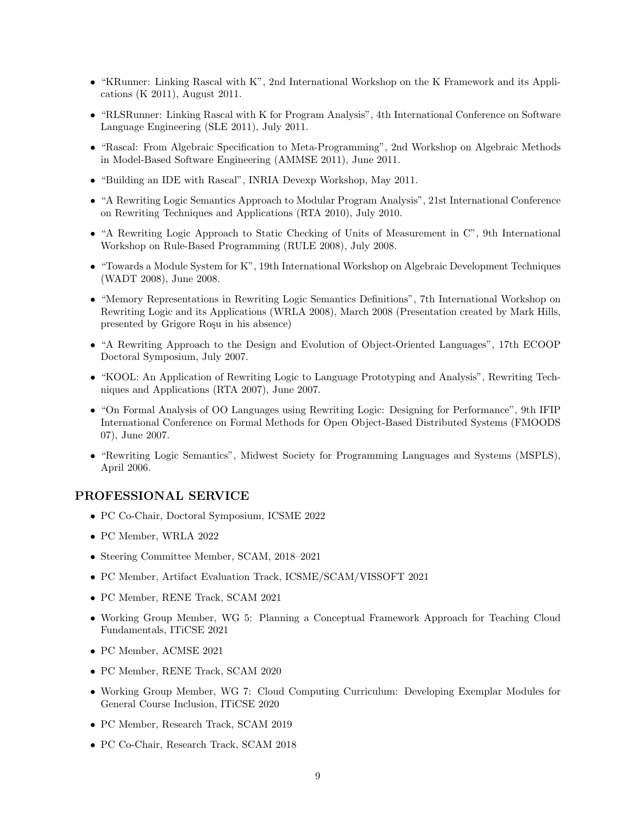- "KRunner: Linking Rascal with K", 2nd International Workshop on the K Framework and its Applications (K 2011), August 2011.
- "RLSRunner: Linking Rascal with K for Program Analysis", 4th International Conference on Software Language Engineering (SLE 2011), July 2011.
- "Rascal: From Algebraic Specification to Meta-Programming", 2nd Workshop on Algebraic Methods in Model-Based Software Engineering (AMMSE 2011), June 2011.
- "Building an IDE with Rascal", INRIA Devexp Workshop, May 2011.
- "A Rewriting Logic Semantics Approach to Modular Program Analysis", 21st International Conference on Rewriting Techniques and Applications (RTA 2010), July 2010.
- "A Rewriting Logic Approach to Static Checking of Units of Measurement in C", 9th International Workshop on Rule-Based Programming (RULE 2008), July 2008.
- "Towards a Module System for K", 19th International Workshop on Algebraic Development Techniques (WADT 2008), June 2008.
- "Memory Representations in Rewriting Logic Semantics Definitions", 7th International Workshop on Rewriting Logic and its Applications (WRLA 2008), March 2008 (Presentation created by Mark Hills, presented by Grigore Rosu in his absence)
- "A Rewriting Approach to the Design and Evolution of Object-Oriented Languages", 17th ECOOP Doctoral Symposium, July 2007.
- "KOOL: An Application of Rewriting Logic to Language Prototyping and Analysis", Rewriting Techniques and Applications (RTA 2007), June 2007.
- "On Formal Analysis of OO Languages using Rewriting Logic: Designing for Performance", 9th IFIP International Conference on Formal Methods for Open Object-Based Distributed Systems (FMOODS 07), June 2007.
- "Rewriting Logic Semantics", Midwest Society for Programming Languages and Systems (MSPLS), April 2006.

### PROFESSIONAL SERVICE

- PC Co-Chair, Doctoral Symposium, ICSME 2022
- PC Member, WRLA 2022
- Steering Committee Member, SCAM, 2018–2021
- PC Member, Artifact Evaluation Track, ICSME/SCAM/VISSOFT 2021
- PC Member, RENE Track, SCAM 2021
- Working Group Member, WG 5: Planning a Conceptual Framework Approach for Teaching Cloud Fundamentals, ITiCSE 2021
- PC Member, ACMSE 2021
- PC Member, RENE Track, SCAM 2020
- Working Group Member, WG 7: Cloud Computing Curriculum: Developing Exemplar Modules for General Course Inclusion, ITiCSE 2020
- PC Member, Research Track, SCAM 2019
- PC Co-Chair, Research Track, SCAM 2018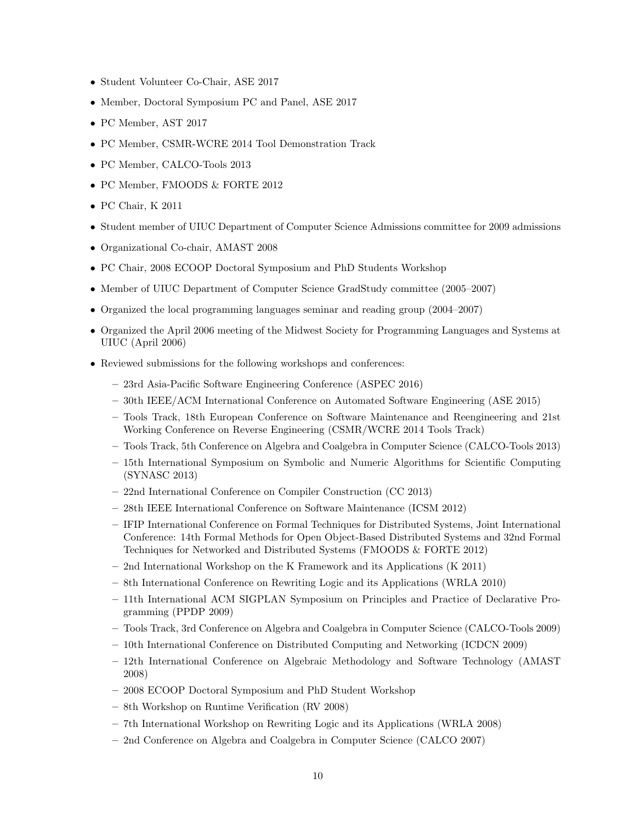- Student Volunteer Co-Chair, ASE 2017
- Member, Doctoral Symposium PC and Panel, ASE 2017
- PC Member, AST 2017
- PC Member, CSMR-WCRE 2014 Tool Demonstration Track
- PC Member, CALCO-Tools 2013
- PC Member, FMOODS & FORTE 2012
- PC Chair, K 2011
- Student member of UIUC Department of Computer Science Admissions committee for 2009 admissions
- Organizational Co-chair, AMAST 2008
- PC Chair, 2008 ECOOP Doctoral Symposium and PhD Students Workshop
- Member of UIUC Department of Computer Science GradStudy committee (2005–2007)
- Organized the local programming languages seminar and reading group (2004–2007)
- Organized the April 2006 meeting of the Midwest Society for Programming Languages and Systems at UIUC (April 2006)
- Reviewed submissions for the following workshops and conferences:
	- 23rd Asia-Pacific Software Engineering Conference (ASPEC 2016)
	- 30th IEEE/ACM International Conference on Automated Software Engineering (ASE 2015)
	- Tools Track, 18th European Conference on Software Maintenance and Reengineering and 21st Working Conference on Reverse Engineering (CSMR/WCRE 2014 Tools Track)
	- Tools Track, 5th Conference on Algebra and Coalgebra in Computer Science (CALCO-Tools 2013)
	- 15th International Symposium on Symbolic and Numeric Algorithms for Scientific Computing (SYNASC 2013)
	- 22nd International Conference on Compiler Construction (CC 2013)
	- 28th IEEE International Conference on Software Maintenance (ICSM 2012)
	- IFIP International Conference on Formal Techniques for Distributed Systems, Joint International Conference: 14th Formal Methods for Open Object-Based Distributed Systems and 32nd Formal Techniques for Networked and Distributed Systems (FMOODS & FORTE 2012)
	- 2nd International Workshop on the K Framework and its Applications (K 2011)
	- 8th International Conference on Rewriting Logic and its Applications (WRLA 2010)
	- 11th International ACM SIGPLAN Symposium on Principles and Practice of Declarative Programming (PPDP 2009)
	- Tools Track, 3rd Conference on Algebra and Coalgebra in Computer Science (CALCO-Tools 2009)
	- 10th International Conference on Distributed Computing and Networking (ICDCN 2009)
	- 12th International Conference on Algebraic Methodology and Software Technology (AMAST 2008)
	- 2008 ECOOP Doctoral Symposium and PhD Student Workshop
	- 8th Workshop on Runtime Verification (RV 2008)
	- 7th International Workshop on Rewriting Logic and its Applications (WRLA 2008)
	- 2nd Conference on Algebra and Coalgebra in Computer Science (CALCO 2007)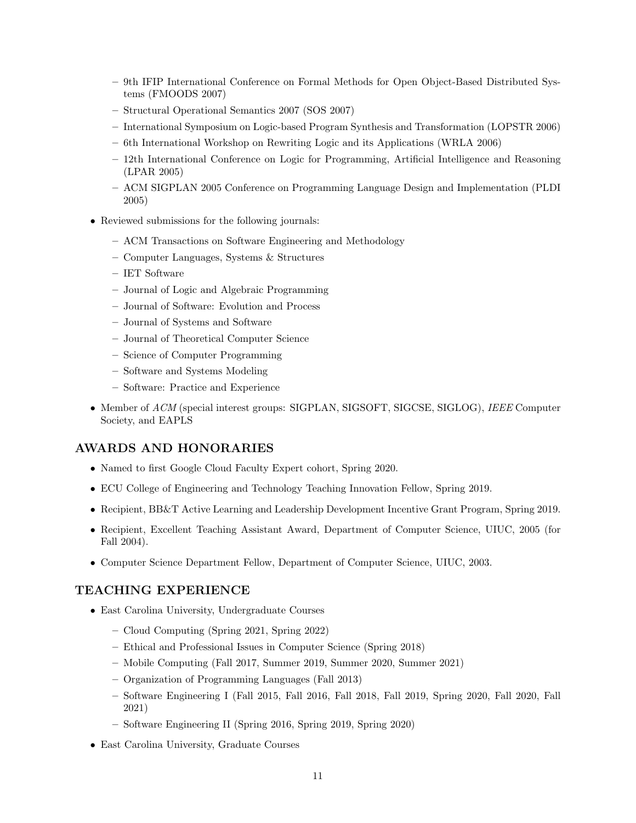- 9th IFIP International Conference on Formal Methods for Open Object-Based Distributed Systems (FMOODS 2007)
- Structural Operational Semantics 2007 (SOS 2007)
- International Symposium on Logic-based Program Synthesis and Transformation (LOPSTR 2006)
- 6th International Workshop on Rewriting Logic and its Applications (WRLA 2006)
- 12th International Conference on Logic for Programming, Artificial Intelligence and Reasoning (LPAR 2005)
- ACM SIGPLAN 2005 Conference on Programming Language Design and Implementation (PLDI 2005)
- Reviewed submissions for the following journals:
	- ACM Transactions on Software Engineering and Methodology
	- Computer Languages, Systems & Structures
	- IET Software
	- Journal of Logic and Algebraic Programming
	- Journal of Software: Evolution and Process
	- Journal of Systems and Software
	- Journal of Theoretical Computer Science
	- Science of Computer Programming
	- Software and Systems Modeling
	- Software: Practice and Experience
- Member of ACM (special interest groups: SIGPLAN, SIGSOFT, SIGCSE, SIGLOG), IEEE Computer Society, and EAPLS

# AWARDS AND HONORARIES

- Named to first Google Cloud Faculty Expert cohort, Spring 2020.
- ECU College of Engineering and Technology Teaching Innovation Fellow, Spring 2019.
- Recipient, BB&T Active Learning and Leadership Development Incentive Grant Program, Spring 2019.
- Recipient, Excellent Teaching Assistant Award, Department of Computer Science, UIUC, 2005 (for Fall 2004).
- Computer Science Department Fellow, Department of Computer Science, UIUC, 2003.

### TEACHING EXPERIENCE

- East Carolina University, Undergraduate Courses
	- Cloud Computing (Spring 2021, Spring 2022)
	- Ethical and Professional Issues in Computer Science (Spring 2018)
	- Mobile Computing (Fall 2017, Summer 2019, Summer 2020, Summer 2021)
	- Organization of Programming Languages (Fall 2013)
	- Software Engineering I (Fall 2015, Fall 2016, Fall 2018, Fall 2019, Spring 2020, Fall 2020, Fall 2021)
	- Software Engineering II (Spring 2016, Spring 2019, Spring 2020)
- East Carolina University, Graduate Courses